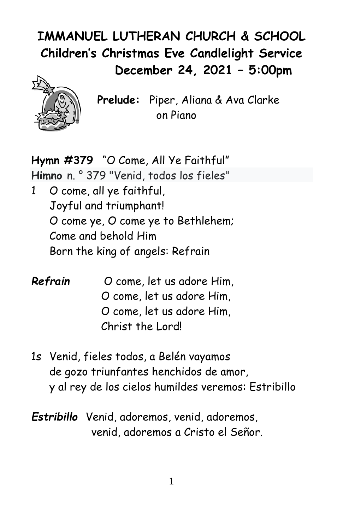# **IMMANUEL LUTHERAN CHURCH & SCHOOL Children's Christmas Eve Candlelight Service December 24, 2021 – 5:00pm**



**Prelude:** Piper, Aliana & Ava Clarke on Piano

**Hymn #379** "O Come, All Ye Faithful" **Himno** n. ° 379 "Venid, todos los fieles" 1 O come, all ye faithful, Joyful and triumphant! O come ye, O come ye to Bethlehem; Come and behold Him Born the king of angels: Refrain

- *Refrain* O come, let us adore Him, O come, let us adore Him, O come, let us adore Him, Christ the Lord!
- 1s Venid, fieles todos, a Belén vayamos de gozo triunfantes henchidos de amor, y al rey de los cielos humildes veremos: Estribillo
- *Estribillo* Venid, adoremos, venid, adoremos, venid, adoremos a Cristo el Señor.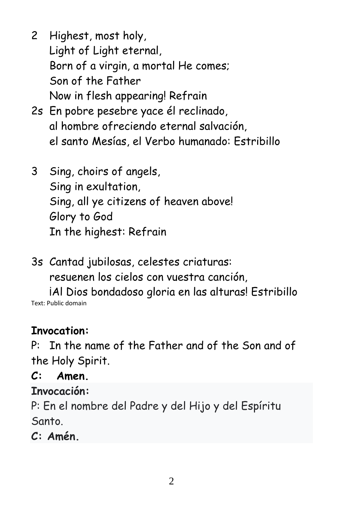- 2 Highest, most holy, Light of Light eternal, Born of a virgin, a mortal He comes; Son of the Father Now in flesh appearing! Refrain
- 2s En pobre pesebre yace él reclinado, al hombre ofreciendo eternal salvación, el santo Mesías, el Verbo humanado: Estribillo
- 3 Sing, choirs of angels, Sing in exultation, Sing, all ye citizens of heaven above! Glory to God In the highest: Refrain
- 3s Cantad jubilosas, celestes criaturas: resuenen los cielos con vuestra canción,

¡Al Dios bondadoso gloria en las alturas! Estribillo Text: Public domain

### **Invocation:**

P:In the name of the Father and of the Son and of the Holy Spirit.

**C: Amen.**

**Invocación:**

P: En el nombre del Padre y del Hijo y del Espíritu Santo.

**C: Amén.**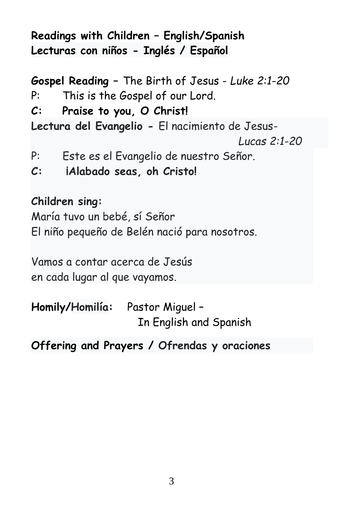**Readings with Children – English/Spanish Lecturas con niños - Inglés / Español**

**Gospel Reading –** The Birth of Jesus - *Luke 2:1-20* P: This is the Gospel of our Lord. **C: Praise to you, O Christ! Lectura del Evangelio -** El nacimiento de Jesus-  *Lucas 2:1-20* P: Este es el Evangelio de nuestro Señor. **C: ¡Alabado seas, oh Cristo!**

#### **Children sing:**

María tuvo un bebé, sí Señor El niño pequeño de Belén nació para nosotros.

Vamos a contar acerca de Jesús en cada lugar al que vayamos.

**Homily/Homilía:** Pastor Miguel – In English and Spanish

**Offering and Prayers / Ofrendas y oraciones**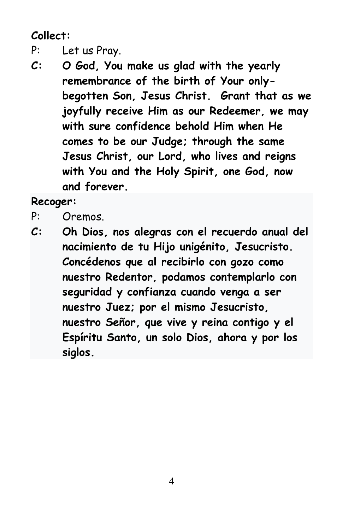**Collect:** 

- P: Let us Pray.
- **C: O God, You make us glad with the yearly remembrance of the birth of Your onlybegotten Son, Jesus Christ. Grant that as we joyfully receive Him as our Redeemer, we may with sure confidence behold Him when He comes to be our Judge; through the same Jesus Christ, our Lord, who lives and reigns with You and the Holy Spirit, one God, now and forever.**

**Recoger:**

- P: Oremos.
- **C: Oh Dios, nos alegras con el recuerdo anual del nacimiento de tu Hijo unigénito, Jesucristo. Concédenos que al recibirlo con gozo como nuestro Redentor, podamos contemplarlo con seguridad y confianza cuando venga a ser nuestro Juez; por el mismo Jesucristo, nuestro Señor, que vive y reina contigo y el Espíritu Santo, un solo Dios, ahora y por los siglos.**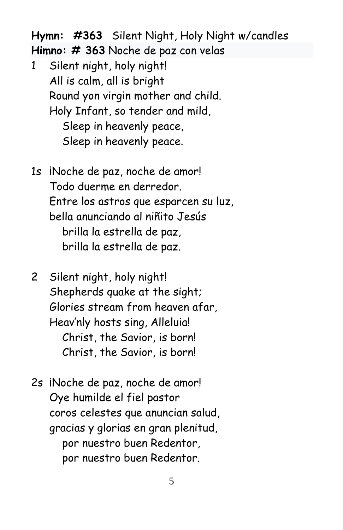**Hymn: #363** Silent Night, Holy Night w/candles

**Himno: # 363** Noche de paz con velas

- 1 Silent night, holy night! All is calm, all is bright Round yon virgin mother and child. Holy Infant, so tender and mild, Sleep in heavenly peace, Sleep in heavenly peace.
- 1s iNoche de paz, noche de amor! Todo duerme en derredor. Entre los astros que esparcen su luz, bella anunciando al niñito Jesús brilla la estrella de paz, brilla la estrella de paz.
- 2 Silent night, holy night! Shepherds quake at the sight; Glories stream from heaven afar, Heav'nly hosts sing, Alleluia! Christ, the Savior, is born! Christ, the Savior, is born!
- 2s iNoche de paz, noche de amor! Oye humilde el fiel pastor coros celestes que anuncian salud, gracias y glorias en gran plenitud, por nuestro buen Redentor, por nuestro buen Redentor.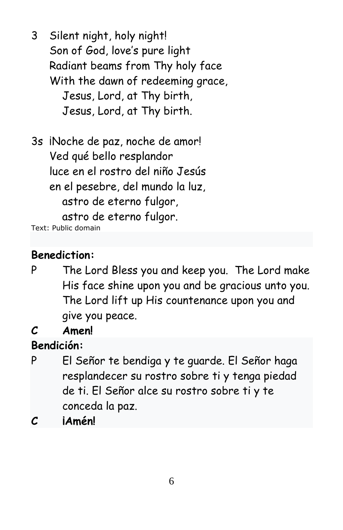- 3 Silent night, holy night! Son of God, love's pure light Radiant beams from Thy holy face With the dawn of redeeming grace, Jesus, Lord, at Thy birth, Jesus, Lord, at Thy birth.
- 3s ¡Noche de paz, noche de amor! Ved qué bello resplandor luce en el rostro del niño Jesús en el pesebre, del mundo la luz, astro de eterno fulgor, astro de eterno fulgor. Text: Public domain

**Benediction:**

- P The Lord Bless you and keep you. The Lord make His face shine upon you and be gracious unto you. The Lord lift up His countenance upon you and give you peace.
- **C Amen!**

**Bendición:**

- P El Señor te bendiga y te guarde. El Señor haga resplandecer su rostro sobre ti y tenga piedad de ti. El Señor alce su rostro sobre ti y te conceda la paz.
- **C ¡Amén!**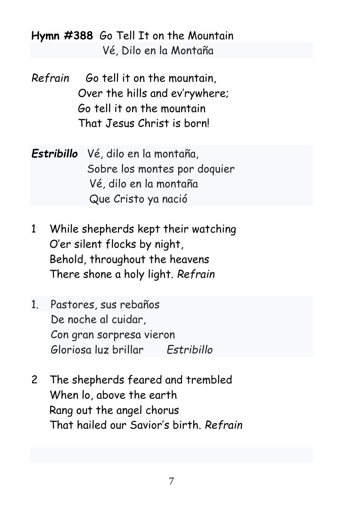**Hymn #388** Go Tell It on the Mountain Vé, Dilo en la Montaña

- *Refrain* Go tell it on the mountain, Over the hills and ev'rywhere; Go tell it on the mountain That Jesus Christ is born!
- *Estribillo* Vé, dilo en la montaña, Sobre los montes por doquier Vé, dilo en la montaña Que Cristo ya nació
- 1 While shepherds kept their watching O'er silent flocks by night, Behold, throughout the heavens There shone a holy light. *Refrain*
- 1. Pastores, sus rebaños De noche al cuidar, Con gran sorpresa vieron Gloriosa luz brillar *Estribillo*
- 2 The shepherds feared and trembled When lo, above the earth Rang out the angel chorus That hailed our Savior's birth. *Refrain*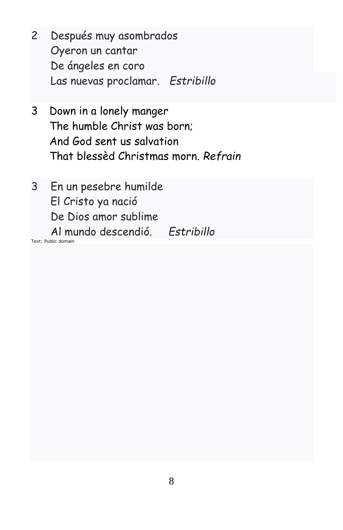- 2 Después muy asombrados Oyeron un cantar De ángeles en coro Las nuevas proclamar. *Estribillo*
- 3 Down in a lonely manger The humble Christ was born; And God sent us salvation That blessèd Christmas morn. *Refrain*
- 3 En un pesebre humilde El Cristo ya nació De Dios amor sublime Al mundo descendió. *Estribillo*

Text: Public domain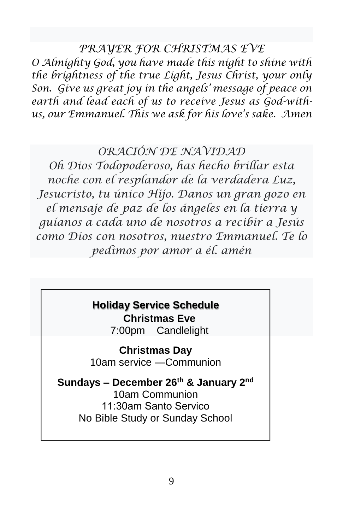*PRAYER FOR CHRISTMAS EVE*

*O Almighty God, you have made this night to shine with the brightness of the true Light, Jesus Christ, your only Son. Give us great joy in the angels' message of peace on earth and lead each of us to receive Jesus as God-withus, our Emmanuel. This we ask for his love's sake. Amen*

#### *ORACIÓN DE NAVIDAD*

*Oh Dios Todopoderoso, has hecho brillar esta noche con el resplandor de la verdadera Luz, Jesucristo, tu único Hijo. Danos un gran gozo en el mensaje de paz de los ángeles en la tierra y guíanos a cada uno de nosotros a recibir a Jesús como Dios con nosotros, nuestro Emmanuel. Te lo pedimos por amor a él. amén*

## **Holiday Service Schedule**

**Christmas Eve**

7:00pm Candlelight

**Christmas Day** 10am service —Communion

**Sundays – December 26th & January 2 nd** 10am Communion 11:30am Santo Servico No Bible Study or Sunday School